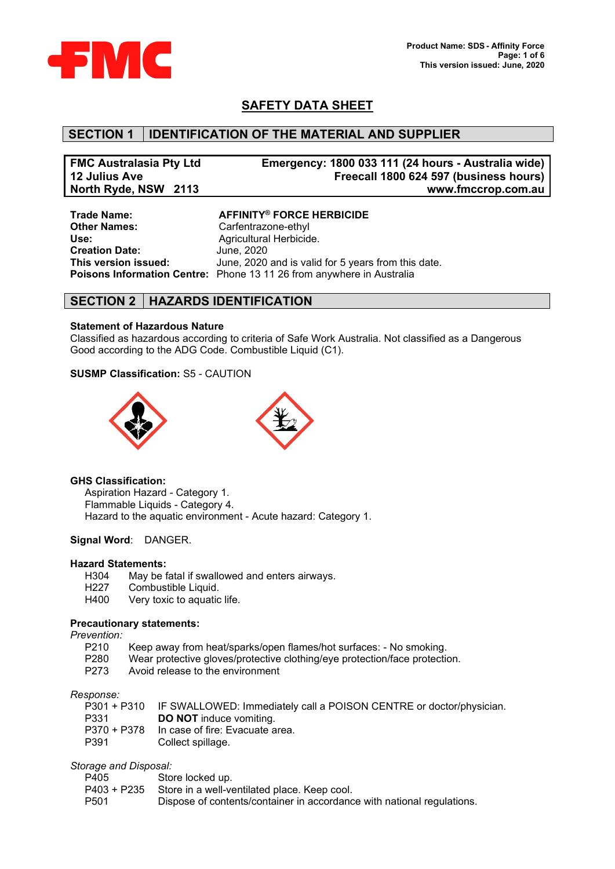

# **SAFETY DATA SHEET**

### **SECTION 1 IDENTIFICATION OF THE MATERIAL AND SUPPLIER**

| <b>FMC Australasia Pty Ltd</b> | Emergency: 1800 033 111 (24 hours - Australia wide) |
|--------------------------------|-----------------------------------------------------|
| 12 Julius Ave                  | Freecall 1800 624 597 (business hours)              |
| North Ryde, NSW 2113           | www.fmccrop.com.au                                  |

**Other Names:** Carfentrazone-ethyl<br>
Use: Agricultural Herbicid **Creation Date:<br>This version issued:** 

**Trade Name: AFFINITY® FORCE HERBICIDE** Agricultural Herbicide.<br>June, 2020 June, 2020 and is valid for 5 years from this date. **Poisons Information Centre:** Phone 13 11 26 from anywhere in Australia

### **SECTION 2 HAZARDS IDENTIFICATION**

#### **Statement of Hazardous Nature**

Classified as hazardous according to criteria of Safe Work Australia. Not classified as a Dangerous Good according to the ADG Code. Combustible Liquid (C1).

#### **SUSMP Classification:** S5 - CAUTION



#### **GHS Classification:**

Aspiration Hazard - Category 1. Flammable Liquids - Category 4. Hazard to the aquatic environment - Acute hazard: Category 1.

#### **Signal Word**: DANGER.

# **Hazard Statements:**

- H304 May be fatal if swallowed and enters airways.<br>H227 Combustible Liquid.
- Combustible Liquid.
- H400 Very toxic to aquatic life.

#### **Precautionary statements:**

*Prevention:*

- P210 Keep away from heat/sparks/open flames/hot surfaces: No smoking.<br>P280 Wear protective gloves/protective clothing/eve protection/face protection
- P280 Wear protective gloves/protective clothing/eye protection/face protection.<br>P273 Avoid release to the environment
- Avoid release to the environment

#### *Response:*

|      | P301 + P310 IF SWALLOWED: Immediately call a POISON CENTRE or doctor/physician. |
|------|---------------------------------------------------------------------------------|
| P331 | <b>DO NOT</b> induce vomiting.                                                  |
|      | P370 + P378 In case of fire: Evacuate area.                                     |
| P391 | Collect spillage.                                                               |

#### *Storage and Disposal:*

| P405             | Store locked up.                                                       |
|------------------|------------------------------------------------------------------------|
|                  | P403 + P235 Store in a well-ventilated place. Keep cool.               |
| P <sub>501</sub> | Dispose of contents/container in accordance with national regulations. |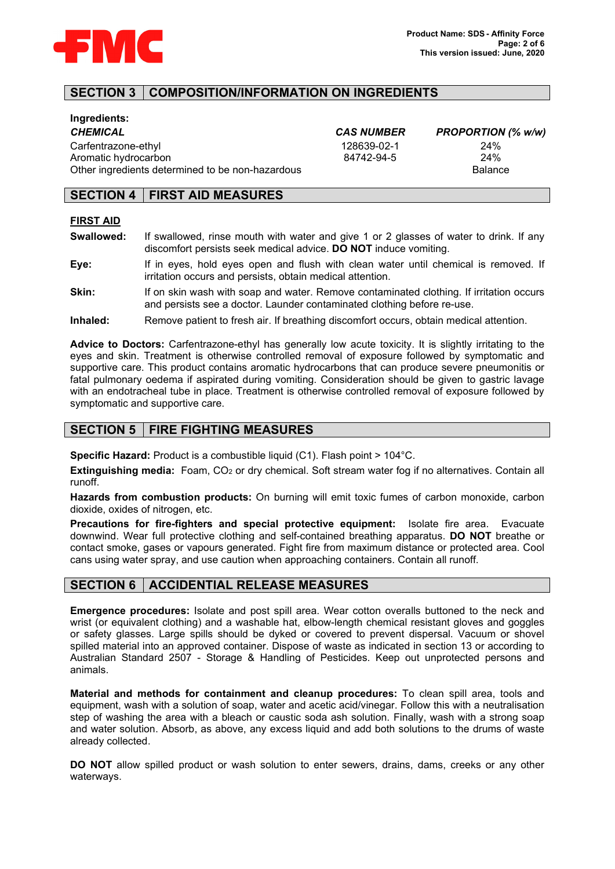

# **SECTION 3 COMPOSITION/INFORMATION ON INGREDIENTS**

| Ingredients:                                     |                   |                   |
|--------------------------------------------------|-------------------|-------------------|
| CHEMICAL                                         | <b>CAS NUMBER</b> | <b>PROPORTION</b> |
| Carfentrazone-ethyl                              | 128639-02-1       | 24%               |
| Aromatic hydrocarbon                             | 84742-94-5        | 24%               |
| Other ingredients determined to be non-hazardous |                   | Balance           |

| <i>CAS NUMBER</i> |  |
|-------------------|--|
| 128639-02-1       |  |
| 84742-94-5        |  |

*CHEMICAL CAS NUMBER PROPORTION (% w/w)*

## **SECTION 4 FIRST AID MEASURES**

#### **FIRST AID**

- **Swallowed:** If swallowed, rinse mouth with water and give 1 or 2 glasses of water to drink. If any discomfort persists seek medical advice. **DO NOT** induce vomiting.
- **Eye:** If in eyes, hold eyes open and flush with clean water until chemical is removed. If irritation occurs and persists, obtain medical attention.
- **Skin:** If on skin wash with soap and water. Remove contaminated clothing. If irritation occurs and persists see a doctor. Launder contaminated clothing before re-use.
- **Inhaled:** Remove patient to fresh air. If breathing discomfort occurs, obtain medical attention.

**Advice to Doctors:** Carfentrazone-ethyl has generally low acute toxicity. It is slightly irritating to the eyes and skin. Treatment is otherwise controlled removal of exposure followed by symptomatic and supportive care. This product contains aromatic hydrocarbons that can produce severe pneumonitis or fatal pulmonary oedema if aspirated during vomiting. Consideration should be given to gastric lavage with an endotracheal tube in place. Treatment is otherwise controlled removal of exposure followed by symptomatic and supportive care.

# **SECTION 5 FIRE FIGHTING MEASURES**

**Specific Hazard:** Product is a combustible liquid (C1). Flash point > 104°C.

**Extinguishing media:** Foam, CO<sub>2</sub> or dry chemical. Soft stream water fog if no alternatives. Contain all runoff.

**Hazards from combustion products:** On burning will emit toxic fumes of carbon monoxide, carbon dioxide, oxides of nitrogen, etc.

**Precautions for fire-fighters and special protective equipment:** Isolate fire area. Evacuate downwind. Wear full protective clothing and self-contained breathing apparatus. **DO NOT** breathe or contact smoke, gases or vapours generated. Fight fire from maximum distance or protected area. Cool cans using water spray, and use caution when approaching containers. Contain all runoff.

#### **SECTION 6 ACCIDENTIAL RELEASE MEASURES**

**Emergence procedures:** Isolate and post spill area. Wear cotton overalls buttoned to the neck and wrist (or equivalent clothing) and a washable hat, elbow-length chemical resistant gloves and goggles or safety glasses. Large spills should be dyked or covered to prevent dispersal. Vacuum or shovel spilled material into an approved container. Dispose of waste as indicated in section 13 or according to Australian Standard 2507 - Storage & Handling of Pesticides. Keep out unprotected persons and animals.

**Material and methods for containment and cleanup procedures:** To clean spill area, tools and equipment, wash with a solution of soap, water and acetic acid/vinegar. Follow this with a neutralisation step of washing the area with a bleach or caustic soda ash solution. Finally, wash with a strong soap and water solution. Absorb, as above, any excess liquid and add both solutions to the drums of waste already collected.

**DO NOT** allow spilled product or wash solution to enter sewers, drains, dams, creeks or any other waterways.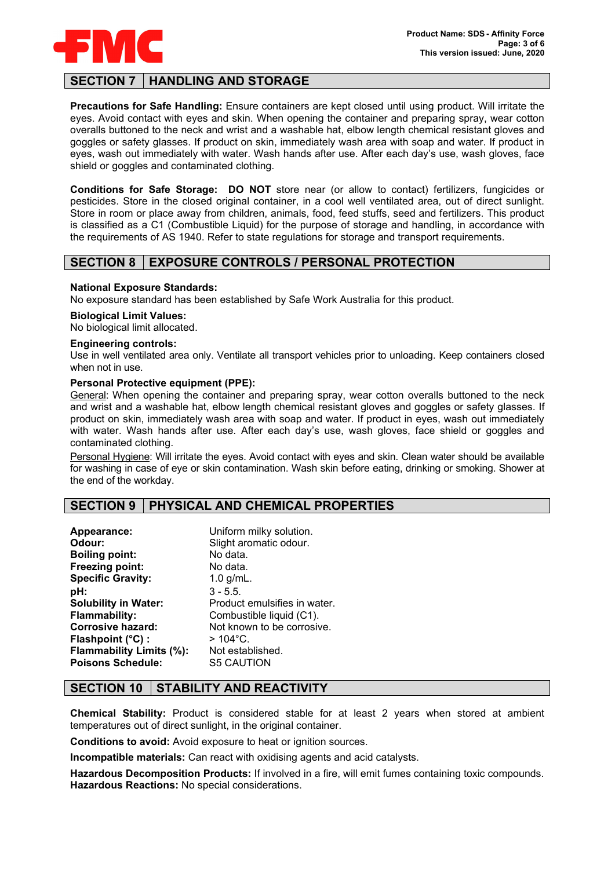

# **SECTION 7 HANDLING AND STORAGE**

**Precautions for Safe Handling:** Ensure containers are kept closed until using product. Will irritate the eyes. Avoid contact with eyes and skin. When opening the container and preparing spray, wear cotton overalls buttoned to the neck and wrist and a washable hat, elbow length chemical resistant gloves and goggles or safety glasses. If product on skin, immediately wash area with soap and water. If product in eyes, wash out immediately with water. Wash hands after use. After each day's use, wash gloves, face shield or goggles and contaminated clothing.

**Conditions for Safe Storage: DO NOT** store near (or allow to contact) fertilizers, fungicides or pesticides. Store in the closed original container, in a cool well ventilated area, out of direct sunlight. Store in room or place away from children, animals, food, feed stuffs, seed and fertilizers. This product is classified as a C1 (Combustible Liquid) for the purpose of storage and handling, in accordance with the requirements of AS 1940. Refer to state regulations for storage and transport requirements.

## **SECTION 8 EXPOSURE CONTROLS / PERSONAL PROTECTION**

#### **National Exposure Standards:**

No exposure standard has been established by Safe Work Australia for this product.

#### **Biological Limit Values:**

No biological limit allocated.

#### **Engineering controls:**

Use in well ventilated area only. Ventilate all transport vehicles prior to unloading. Keep containers closed when not in use.

#### **Personal Protective equipment (PPE):**

General: When opening the container and preparing spray, wear cotton overalls buttoned to the neck and wrist and a washable hat, elbow length chemical resistant gloves and goggles or safety glasses. If product on skin, immediately wash area with soap and water. If product in eyes, wash out immediately with water. Wash hands after use. After each day's use, wash gloves, face shield or goggles and contaminated clothing.

Personal Hygiene: Will irritate the eyes. Avoid contact with eyes and skin. Clean water should be available for washing in case of eye or skin contamination. Wash skin before eating, drinking or smoking. Shower at the end of the workday.

# **SECTION 9 PHYSICAL AND CHEMICAL PROPERTIES**

| Appearance:                 | Uniform milky solution.      |
|-----------------------------|------------------------------|
| Odour:                      | Slight aromatic odour.       |
| <b>Boiling point:</b>       | No data.                     |
| Freezing point:             | No data.                     |
| <b>Specific Gravity:</b>    | 1.0 $g/mL$ .                 |
| pH:                         | $3 - 5.5$ .                  |
| <b>Solubility in Water:</b> | Product emulsifies in water. |
| <b>Flammability:</b>        | Combustible liquid (C1).     |
| Corrosive hazard:           | Not known to be corrosive.   |
| Flashpoint (°C) :           | $>104^{\circ}$ C.            |
| Flammability Limits (%):    | Not established.             |
| <b>Poisons Schedule:</b>    | <b>S5 CAUTION</b>            |

# **SECTION 10 STABILITY AND REACTIVITY**

**Chemical Stability:** Product is considered stable for at least 2 years when stored at ambient temperatures out of direct sunlight, in the original container.

**Conditions to avoid:** Avoid exposure to heat or ignition sources.

**Incompatible materials:** Can react with oxidising agents and acid catalysts.

**Hazardous Decomposition Products:** If involved in a fire, will emit fumes containing toxic compounds. **Hazardous Reactions:** No special considerations.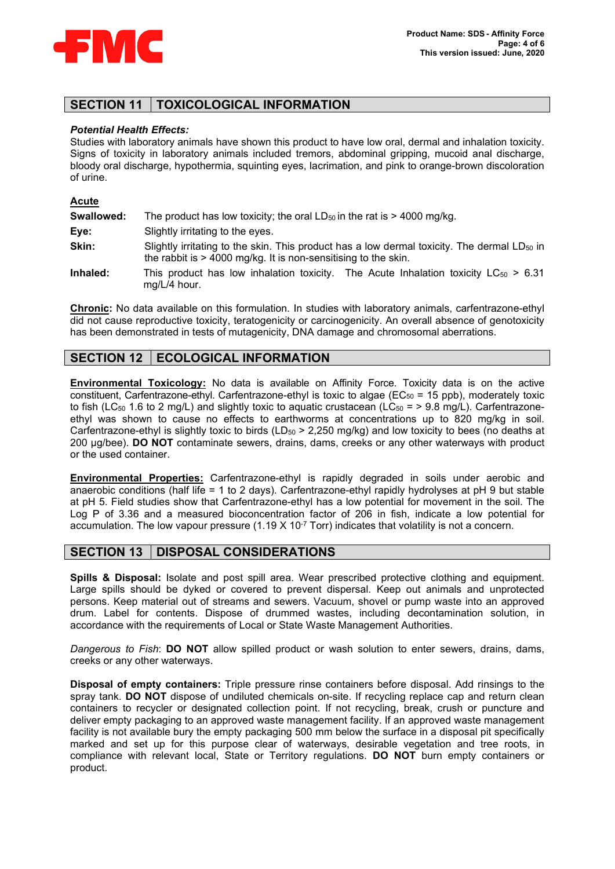

# **SECTION 11 TOXICOLOGICAL INFORMATION**

#### *Potential Health Effects:*

Studies with laboratory animals have shown this product to have low oral, dermal and inhalation toxicity. Signs of toxicity in laboratory animals included tremors, abdominal gripping, mucoid anal discharge, bloody oral discharge, hypothermia, squinting eyes, lacrimation, and pink to orange-brown discoloration of urine.

#### **Acute**

| Swallowed: | The product has low toxicity; the oral $LD_{50}$ in the rat is > 4000 mg/kg.                                                                                                |
|------------|-----------------------------------------------------------------------------------------------------------------------------------------------------------------------------|
| Eye:       | Slightly irritating to the eyes.                                                                                                                                            |
| Skin:      | Slightly irritating to the skin. This product has a low dermal toxicity. The dermal LD <sub>50</sub> in<br>the rabbit is $> 4000$ mg/kg. It is non-sensitising to the skin. |
| Inhaled:   | This product has low inhalation toxicity. The Acute Inhalation toxicity $LC_{50} > 6.31$<br>$mg/L/4$ hour.                                                                  |

**Chronic:** No data available on this formulation. In studies with laboratory animals, carfentrazone-ethyl did not cause reproductive toxicity, teratogenicity or carcinogenicity. An overall absence of genotoxicity has been demonstrated in tests of mutagenicity, DNA damage and chromosomal aberrations.

# **SECTION 12 | ECOLOGICAL INFORMATION**

**Environmental Toxicology:** No data is available on Affinity Force. Toxicity data is on the active constituent, Carfentrazone-ethyl. Carfentrazone-ethyl is toxic to algae ( $EC_{50}$  = 15 ppb), moderately toxic to fish (LC<sub>50</sub> 1.6 to 2 mg/L) and slightly toxic to aquatic crustacean (LC<sub>50</sub> = > 9.8 mg/L). Carfentrazoneethyl was shown to cause no effects to earthworms at concentrations up to 820 mg/kg in soil. Carfentrazone-ethyl is slightly toxic to birds ( $LD_{50}$  > 2,250 mg/kg) and low toxicity to bees (no deaths at 200 µg/bee). **DO NOT** contaminate sewers, drains, dams, creeks or any other waterways with product or the used container.

**Environmental Properties:** Carfentrazone-ethyl is rapidly degraded in soils under aerobic and anaerobic conditions (half life = 1 to 2 days). Carfentrazone-ethyl rapidly hydrolyses at pH 9 but stable at pH 5. Field studies show that Carfentrazone-ethyl has a low potential for movement in the soil. The Log P of 3.36 and a measured bioconcentration factor of 206 in fish, indicate a low potential for accumulation. The low vapour pressure  $(1.19 \times 10^{-7} \text{ Torr})$  indicates that volatility is not a concern.

### **SECTION 13 DISPOSAL CONSIDERATIONS**

**Spills & Disposal:** Isolate and post spill area. Wear prescribed protective clothing and equipment. Large spills should be dyked or covered to prevent dispersal. Keep out animals and unprotected persons. Keep material out of streams and sewers. Vacuum, shovel or pump waste into an approved drum. Label for contents. Dispose of drummed wastes, including decontamination solution, in accordance with the requirements of Local or State Waste Management Authorities.

*Dangerous to Fish*: **DO NOT** allow spilled product or wash solution to enter sewers, drains, dams, creeks or any other waterways.

**Disposal of empty containers:** Triple pressure rinse containers before disposal. Add rinsings to the spray tank. **DO NOT** dispose of undiluted chemicals on-site. If recycling replace cap and return clean containers to recycler or designated collection point. If not recycling, break, crush or puncture and deliver empty packaging to an approved waste management facility. If an approved waste management facility is not available bury the empty packaging 500 mm below the surface in a disposal pit specifically marked and set up for this purpose clear of waterways, desirable vegetation and tree roots, in compliance with relevant local, State or Territory regulations. **DO NOT** burn empty containers or product.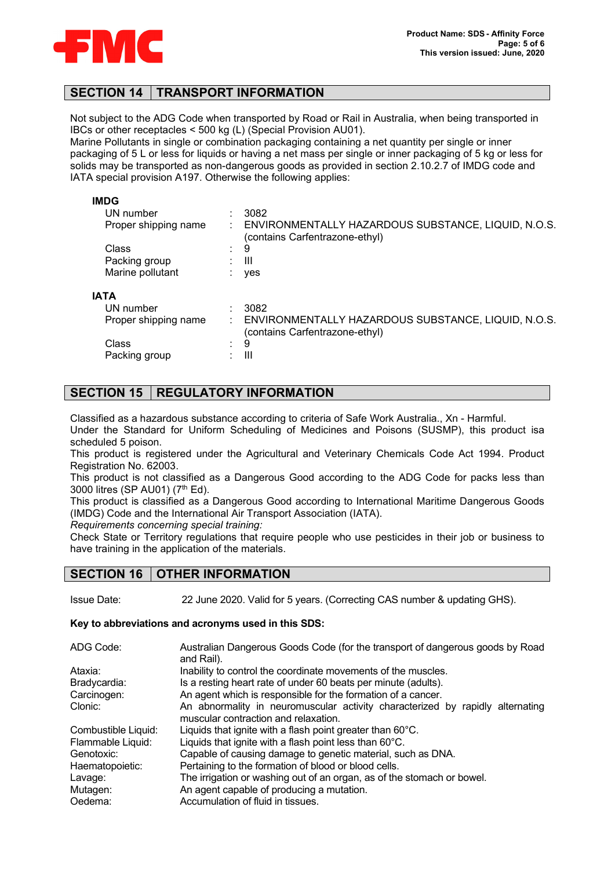

## **SECTION 14 TRANSPORT INFORMATION**

Not subject to the ADG Code when transported by Road or Rail in Australia, when being transported in IBCs or other receptacles < 500 kg (L) (Special Provision AU01).

Marine Pollutants in single or combination packaging containing a net quantity per single or inner packaging of 5 L or less for liquids or having a net mass per single or inner packaging of 5 kg or less for solids may be transported as non-dangerous goods as provided in section 2.10.2.7 of IMDG code and IATA special provision A197. Otherwise the following applies:

| <b>IMDG</b>          |   |                                                                                       |
|----------------------|---|---------------------------------------------------------------------------------------|
| UN number            |   | 3082                                                                                  |
| Proper shipping name |   | ENVIRONMENTALLY HAZARDOUS SUBSTANCE, LIQUID, N.O.S.<br>(contains Carfentrazone-ethyl) |
| Class                | ٠ | 9                                                                                     |
| Packing group        |   | Ш                                                                                     |
| Marine pollutant     |   | yes                                                                                   |
| <b>IATA</b>          |   |                                                                                       |
| UN number            |   | 3082                                                                                  |
| Proper shipping name |   | ENVIRONMENTALLY HAZARDOUS SUBSTANCE, LIQUID, N.O.S.<br>(contains Carfentrazone-ethyl) |
| Class                | ٠ | 9                                                                                     |
| Packing group        |   | Ш                                                                                     |

# **SECTION 15 REGULATORY INFORMATION**

Classified as a hazardous substance according to criteria of Safe Work Australia., Xn - Harmful.

Under the Standard for Uniform Scheduling of Medicines and Poisons (SUSMP), this product isa scheduled 5 poison.

This product is registered under the Agricultural and Veterinary Chemicals Code Act 1994. Product Registration No. 62003.

This product is not classified as a Dangerous Good according to the ADG Code for packs less than 3000 litres (SP AU01) (7th Ed).

This product is classified as a Dangerous Good according to International Maritime Dangerous Goods (IMDG) Code and the International Air Transport Association (IATA).

*Requirements concerning special training:*

Check State or Territory regulations that require people who use pesticides in their job or business to have training in the application of the materials.

# **SECTION 16 OTHER INFORMATION**

Issue Date: 22 June 2020. Valid for 5 years. (Correcting CAS number & updating GHS).

#### **Key to abbreviations and acronyms used in this SDS:**

| ADG Code:           | Australian Dangerous Goods Code (for the transport of dangerous goods by Road<br>and Rail).                           |
|---------------------|-----------------------------------------------------------------------------------------------------------------------|
| Ataxia:             | Inability to control the coordinate movements of the muscles.                                                         |
| Bradycardia:        | Is a resting heart rate of under 60 beats per minute (adults).                                                        |
| Carcinogen:         | An agent which is responsible for the formation of a cancer.                                                          |
| Clonic:             | An abnormality in neuromuscular activity characterized by rapidly alternating<br>muscular contraction and relaxation. |
| Combustible Liquid: | Liquids that ignite with a flash point greater than 60°C.                                                             |
| Flammable Liquid:   | Liquids that ignite with a flash point less than $60^{\circ}$ C.                                                      |
| Genotoxic:          | Capable of causing damage to genetic material, such as DNA.                                                           |
| Haematopoietic:     | Pertaining to the formation of blood or blood cells.                                                                  |
| Lavage:             | The irrigation or washing out of an organ, as of the stomach or bowel.                                                |
| Mutagen:            | An agent capable of producing a mutation.                                                                             |
| Oedema:             | Accumulation of fluid in tissues.                                                                                     |